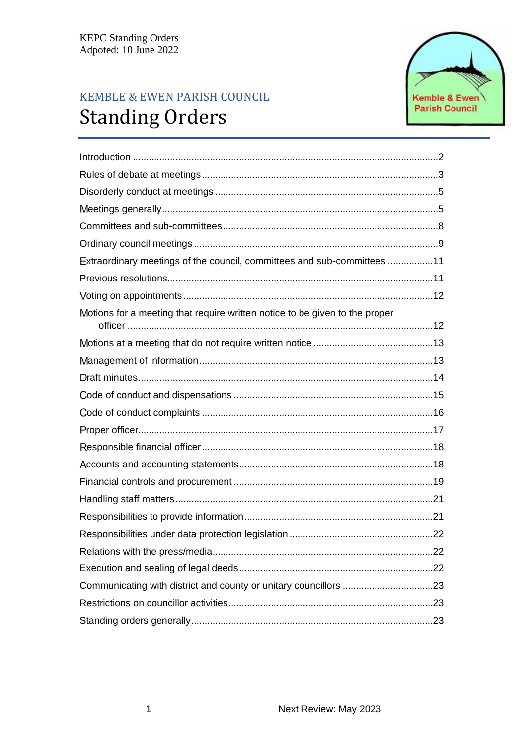# KEMBLE & EWEN PARISH COUNCIL **Standing Orders**



| Extraordinary meetings of the council, committees and sub-committees 11     |
|-----------------------------------------------------------------------------|
|                                                                             |
|                                                                             |
| Motions for a meeting that require written notice to be given to the proper |
|                                                                             |
|                                                                             |
|                                                                             |
|                                                                             |
|                                                                             |
|                                                                             |
|                                                                             |
|                                                                             |
|                                                                             |
|                                                                             |
|                                                                             |
|                                                                             |
|                                                                             |
|                                                                             |
|                                                                             |
|                                                                             |
|                                                                             |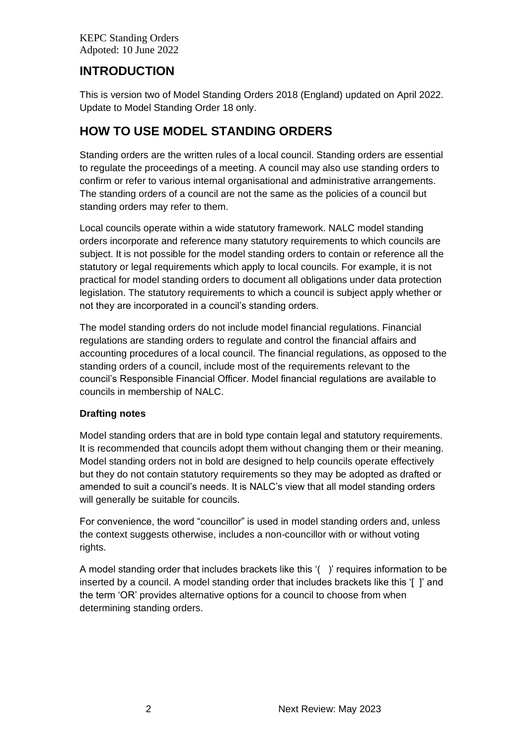# <span id="page-1-0"></span>**INTRODUCTION**

This is version two of Model Standing Orders 2018 (England) updated on April 2022. Update to Model Standing Order 18 only.

# **HOW TO USE MODEL STANDING ORDERS**

Standing orders are the written rules of a local council. Standing orders are essential to regulate the proceedings of a meeting. A council may also use standing orders to confirm or refer to various internal organisational and administrative arrangements. The standing orders of a council are not the same as the policies of a council but standing orders may refer to them.

Local councils operate within a wide statutory framework. NALC model standing orders incorporate and reference many statutory requirements to which councils are subject. It is not possible for the model standing orders to contain or reference all the statutory or legal requirements which apply to local councils. For example, it is not practical for model standing orders to document all obligations under data protection legislation. The statutory requirements to which a council is subject apply whether or not they are incorporated in a council's standing orders.

The model standing orders do not include model financial regulations. Financial regulations are standing orders to regulate and control the financial affairs and accounting procedures of a local council. The financial regulations, as opposed to the standing orders of a council, include most of the requirements relevant to the council's Responsible Financial Officer. Model financial regulations are available to councils in membership of NALC.

# **Drafting notes**

Model standing orders that are in bold type contain legal and statutory requirements. It is recommended that councils adopt them without changing them or their meaning. Model standing orders not in bold are designed to help councils operate effectively but they do not contain statutory requirements so they may be adopted as drafted or amended to suit a council's needs. It is NALC's view that all model standing orders will generally be suitable for councils.

For convenience, the word "councillor" is used in model standing orders and, unless the context suggests otherwise, includes a non-councillor with or without voting rights.

A model standing order that includes brackets like this '( )' requires information to be inserted by a council. A model standing order that includes brackets like this '[ ]' and the term 'OR' provides alternative options for a council to choose from when determining standing orders.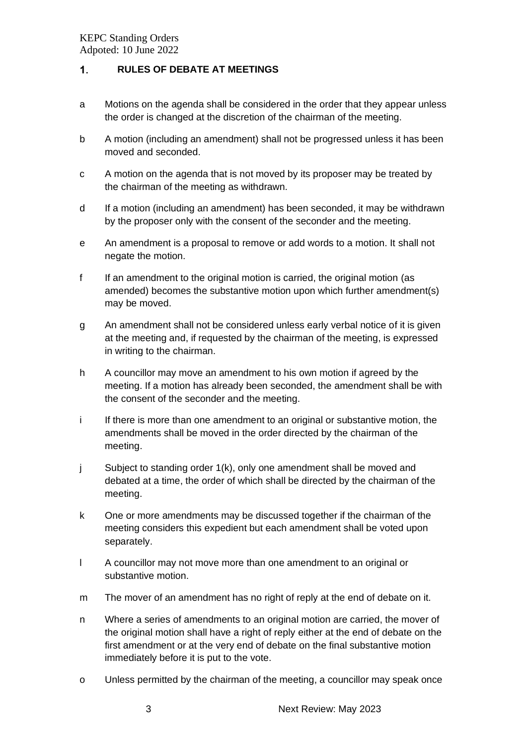#### <span id="page-2-0"></span> $1<sub>1</sub>$ **RULES OF DEBATE AT MEETINGS**

- a Motions on the agenda shall be considered in the order that they appear unless the order is changed at the discretion of the chairman of the meeting.
- b A motion (including an amendment) shall not be progressed unless it has been moved and seconded.
- c A motion on the agenda that is not moved by its proposer may be treated by the chairman of the meeting as withdrawn.
- d If a motion (including an amendment) has been seconded, it may be withdrawn by the proposer only with the consent of the seconder and the meeting.
- e An amendment is a proposal to remove or add words to a motion. It shall not negate the motion.
- f If an amendment to the original motion is carried, the original motion (as amended) becomes the substantive motion upon which further amendment(s) may be moved.
- g An amendment shall not be considered unless early verbal notice of it is given at the meeting and, if requested by the chairman of the meeting, is expressed in writing to the chairman.
- h A councillor may move an amendment to his own motion if agreed by the meeting. If a motion has already been seconded, the amendment shall be with the consent of the seconder and the meeting.
- i If there is more than one amendment to an original or substantive motion, the amendments shall be moved in the order directed by the chairman of the meeting.
- j Subject to standing order 1(k), only one amendment shall be moved and debated at a time, the order of which shall be directed by the chairman of the meeting.
- k One or more amendments may be discussed together if the chairman of the meeting considers this expedient but each amendment shall be voted upon separately.
- l A councillor may not move more than one amendment to an original or substantive motion.
- m The mover of an amendment has no right of reply at the end of debate on it.
- n Where a series of amendments to an original motion are carried, the mover of the original motion shall have a right of reply either at the end of debate on the first amendment or at the very end of debate on the final substantive motion immediately before it is put to the vote.
- o Unless permitted by the chairman of the meeting, a councillor may speak once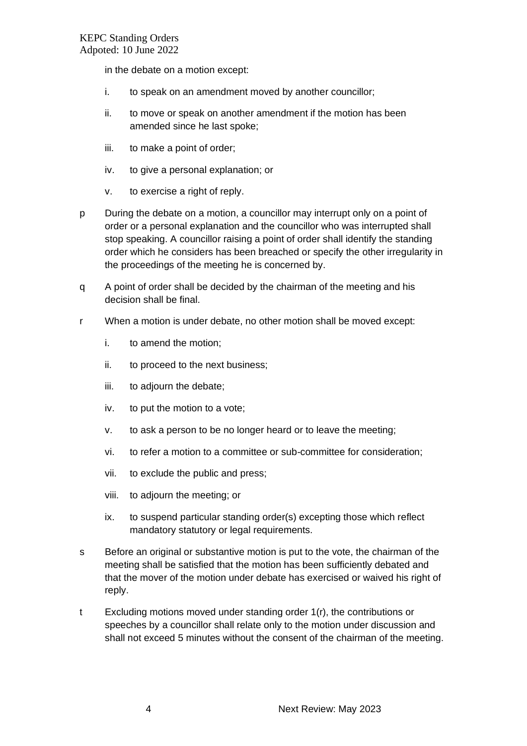in the debate on a motion except:

- i. to speak on an amendment moved by another councillor;
- ii. to move or speak on another amendment if the motion has been amended since he last spoke;
- iii. to make a point of order;
- iv. to give a personal explanation; or
- v. to exercise a right of reply.
- p During the debate on a motion, a councillor may interrupt only on a point of order or a personal explanation and the councillor who was interrupted shall stop speaking. A councillor raising a point of order shall identify the standing order which he considers has been breached or specify the other irregularity in the proceedings of the meeting he is concerned by.
- q A point of order shall be decided by the chairman of the meeting and his decision shall be final.
- r When a motion is under debate, no other motion shall be moved except:
	- i. to amend the motion;
	- ii. to proceed to the next business;
	- iii. to adjourn the debate;
	- iv. to put the motion to a vote;
	- v. to ask a person to be no longer heard or to leave the meeting;
	- vi. to refer a motion to a committee or sub-committee for consideration;
	- vii. to exclude the public and press;
	- viii. to adjourn the meeting; or
	- ix. to suspend particular standing order(s) excepting those which reflect mandatory statutory or legal requirements.
- s Before an original or substantive motion is put to the vote, the chairman of the meeting shall be satisfied that the motion has been sufficiently debated and that the mover of the motion under debate has exercised or waived his right of reply.
- t Excluding motions moved under standing order 1(r), the contributions or speeches by a councillor shall relate only to the motion under discussion and shall not exceed 5 minutes without the consent of the chairman of the meeting.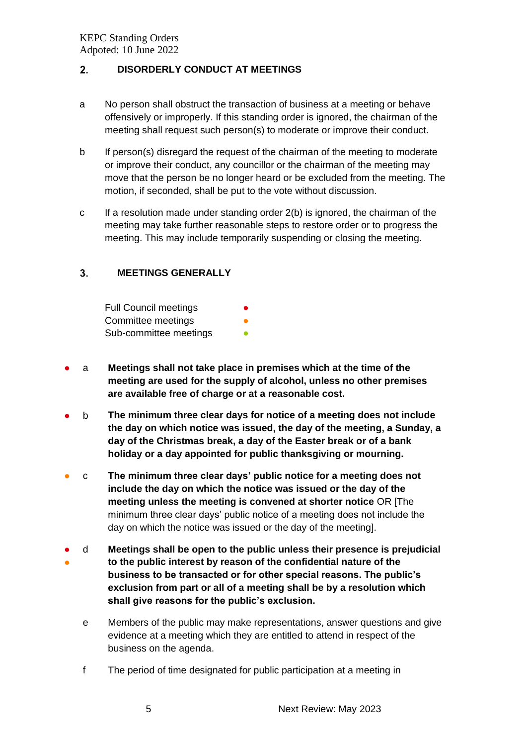#### <span id="page-4-0"></span> $2<sub>1</sub>$ **DISORDERLY CONDUCT AT MEETINGS**

- a No person shall obstruct the transaction of business at a meeting or behave offensively or improperly. If this standing order is ignored, the chairman of the meeting shall request such person(s) to moderate or improve their conduct.
- b If person(s) disregard the request of the chairman of the meeting to moderate or improve their conduct, any councillor or the chairman of the meeting may move that the person be no longer heard or be excluded from the meeting. The motion, if seconded, shall be put to the vote without discussion.
- c If a resolution made under standing order 2(b) is ignored, the chairman of the meeting may take further reasonable steps to restore order or to progress the meeting. This may include temporarily suspending or closing the meeting.

#### <span id="page-4-1"></span> $3.$ **MEETINGS GENERALLY**

| <b>Full Council meetings</b> | ● |
|------------------------------|---|
| Committee meetings           |   |
| Sub-committee meetings       |   |

- a **Meetings shall not take place in premises which at the time of the meeting are used for the supply of alcohol, unless no other premises are available free of charge or at a reasonable cost.**
- b **The minimum three clear days for notice of a meeting does not include the day on which notice was issued, the day of the meeting, a Sunday, a day of the Christmas break, a day of the Easter break or of a bank holiday or a day appointed for public thanksgiving or mourning.**
- c **The minimum three clear days' public notice for a meeting does not include the day on which the notice was issued or the day of the meeting unless the meeting is convened at shorter notice** OR [The minimum three clear days' public notice of a meeting does not include the day on which the notice was issued or the day of the meeting].
- ● d **Meetings shall be open to the public unless their presence is prejudicial to the public interest by reason of the confidential nature of the business to be transacted or for other special reasons. The public's exclusion from part or all of a meeting shall be by a resolution which shall give reasons for the public's exclusion.**
	- e Members of the public may make representations, answer questions and give evidence at a meeting which they are entitled to attend in respect of the business on the agenda.
	- f The period of time designated for public participation at a meeting in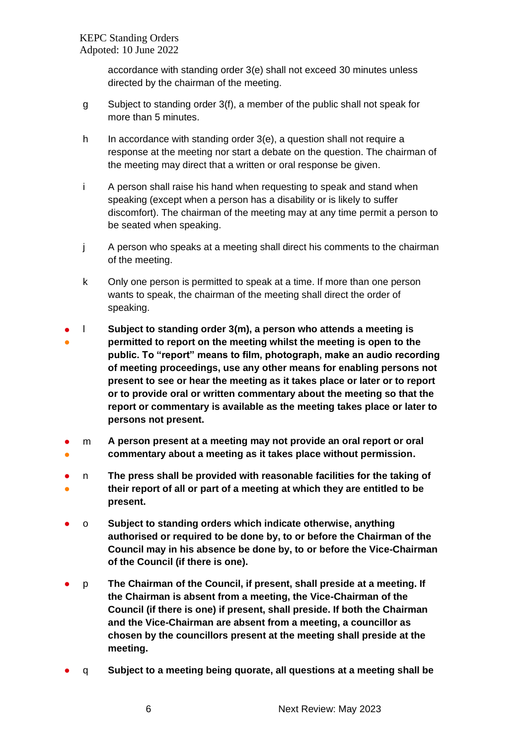accordance with standing order 3(e) shall not exceed 30 minutes unless directed by the chairman of the meeting.

- g Subject to standing order 3(f), a member of the public shall not speak for more than 5 minutes.
- h In accordance with standing order 3(e), a question shall not require a response at the meeting nor start a debate on the question. The chairman of the meeting may direct that a written or oral response be given.
- i A person shall raise his hand when requesting to speak and stand when speaking (except when a person has a disability or is likely to suffer discomfort). The chairman of the meeting may at any time permit a person to be seated when speaking.
- j A person who speaks at a meeting shall direct his comments to the chairman of the meeting.
- k Only one person is permitted to speak at a time. If more than one person wants to speak, the chairman of the meeting shall direct the order of speaking.
- ● l **Subject to standing order 3(m), a person who attends a meeting is permitted to report on the meeting whilst the meeting is open to the public. To "report" means to film, photograph, make an audio recording of meeting proceedings, use any other means for enabling persons not present to see or hear the meeting as it takes place or later or to report or to provide oral or written commentary about the meeting so that the report or commentary is available as the meeting takes place or later to persons not present.**
- ● m **A person present at a meeting may not provide an oral report or oral commentary about a meeting as it takes place without permission.**
- ● n **The press shall be provided with reasonable facilities for the taking of their report of all or part of a meeting at which they are entitled to be present.**
- o **Subject to standing orders which indicate otherwise, anything authorised or required to be done by, to or before the Chairman of the Council may in his absence be done by, to or before the Vice-Chairman of the Council (if there is one).**
- p **The Chairman of the Council, if present, shall preside at a meeting. If the Chairman is absent from a meeting, the Vice-Chairman of the Council (if there is one) if present, shall preside. If both the Chairman and the Vice-Chairman are absent from a meeting, a councillor as chosen by the councillors present at the meeting shall preside at the meeting.**
- q **Subject to a meeting being quorate, all questions at a meeting shall be**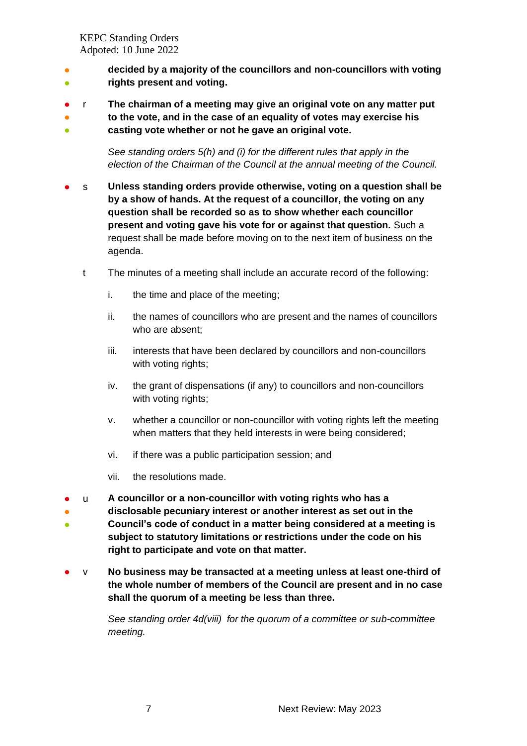- ● **decided by a majority of the councillors and non-councillors with voting rights present and voting.**
- r **The chairman of a meeting may give an original vote on any matter put**
- ● **to the vote, and in the case of an equality of votes may exercise his casting vote whether or not he gave an original vote.**

*See standing orders 5(h) and (i) for the different rules that apply in the election of the Chairman of the Council at the annual meeting of the Council.*

- s **Unless standing orders provide otherwise, voting on a question shall be by a show of hands. At the request of a councillor, the voting on any question shall be recorded so as to show whether each councillor present and voting gave his vote for or against that question.** Such a request shall be made before moving on to the next item of business on the agenda.
	- t The minutes of a meeting shall include an accurate record of the following:
		- i. the time and place of the meeting;
		- ii. the names of councillors who are present and the names of councillors who are absent;
		- iii. interests that have been declared by councillors and non-councillors with voting rights;
		- iv. the grant of dispensations (if any) to councillors and non-councillors with voting rights;
		- v. whether a councillor or non-councillor with voting rights left the meeting when matters that they held interests in were being considered;
		- vi. if there was a public participation session; and
		- vii. the resolutions made.
- u **A councillor or a non-councillor with voting rights who has a**
- ● **disclosable pecuniary interest or another interest as set out in the Council's code of conduct in a matter being considered at a meeting is subject to statutory limitations or restrictions under the code on his right to participate and vote on that matter.**
- v **No business may be transacted at a meeting unless at least one-third of the whole number of members of the Council are present and in no case shall the quorum of a meeting be less than three.**

*See standing order 4d(viii) for the quorum of a committee or sub-committee meeting.*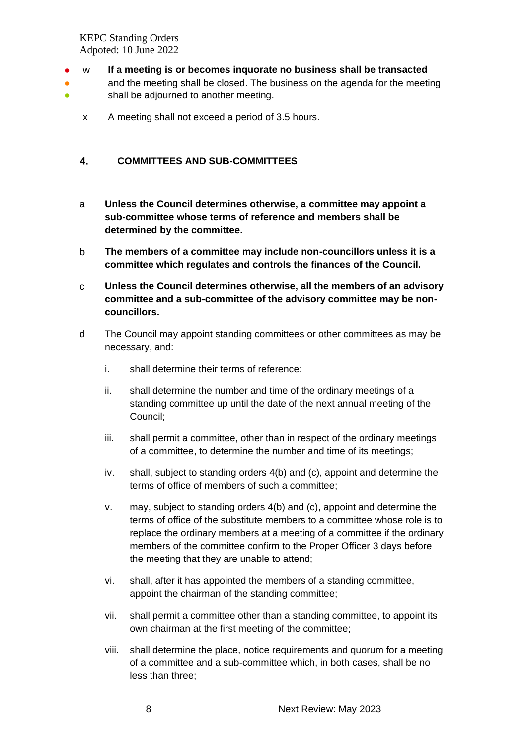- w **If a meeting is or becomes inquorate no business shall be transacted**
- ● and the meeting shall be closed. The business on the agenda for the meeting shall be adjourned to another meeting.
	- x A meeting shall not exceed a period of 3.5 hours.

#### <span id="page-7-0"></span> $\overline{4}$ . **COMMITTEES AND SUB-COMMITTEES**

- a **Unless the Council determines otherwise, a committee may appoint a sub-committee whose terms of reference and members shall be determined by the committee.**
- b **The members of a committee may include non-councillors unless it is a committee which regulates and controls the finances of the Council.**
- c **Unless the Council determines otherwise, all the members of an advisory committee and a sub-committee of the advisory committee may be noncouncillors.**
- d The Council may appoint standing committees or other committees as may be necessary, and:
	- i. shall determine their terms of reference;
	- ii. shall determine the number and time of the ordinary meetings of a standing committee up until the date of the next annual meeting of the Council;
	- iii. shall permit a committee, other than in respect of the ordinary meetings of a committee, to determine the number and time of its meetings;
	- iv. shall, subject to standing orders 4(b) and (c), appoint and determine the terms of office of members of such a committee;
	- v. may, subject to standing orders 4(b) and (c), appoint and determine the terms of office of the substitute members to a committee whose role is to replace the ordinary members at a meeting of a committee if the ordinary members of the committee confirm to the Proper Officer 3 days before the meeting that they are unable to attend;
	- vi. shall, after it has appointed the members of a standing committee, appoint the chairman of the standing committee;
	- vii. shall permit a committee other than a standing committee, to appoint its own chairman at the first meeting of the committee;
	- viii. shall determine the place, notice requirements and quorum for a meeting of a committee and a sub-committee which, in both cases, shall be no less than three;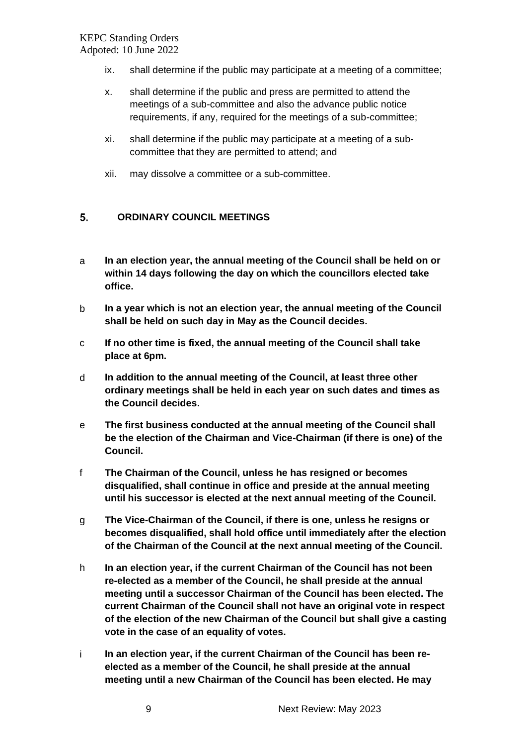- ix. shall determine if the public may participate at a meeting of a committee;
- x. shall determine if the public and press are permitted to attend the meetings of a sub-committee and also the advance public notice requirements, if any, required for the meetings of a sub-committee;
- xi. shall determine if the public may participate at a meeting of a subcommittee that they are permitted to attend; and
- xii. may dissolve a committee or a sub-committee.

#### <span id="page-8-0"></span>5. **ORDINARY COUNCIL MEETINGS**

- a **In an election year, the annual meeting of the Council shall be held on or within 14 days following the day on which the councillors elected take office.**
- b **In a year which is not an election year, the annual meeting of the Council shall be held on such day in May as the Council decides.**
- c **If no other time is fixed, the annual meeting of the Council shall take place at 6pm.**
- d **In addition to the annual meeting of the Council, at least three other ordinary meetings shall be held in each year on such dates and times as the Council decides.**
- e **The first business conducted at the annual meeting of the Council shall be the election of the Chairman and Vice-Chairman (if there is one) of the Council.**
- f **The Chairman of the Council, unless he has resigned or becomes disqualified, shall continue in office and preside at the annual meeting until his successor is elected at the next annual meeting of the Council.**
- g **The Vice-Chairman of the Council, if there is one, unless he resigns or becomes disqualified, shall hold office until immediately after the election of the Chairman of the Council at the next annual meeting of the Council.**
- h **In an election year, if the current Chairman of the Council has not been re-elected as a member of the Council, he shall preside at the annual meeting until a successor Chairman of the Council has been elected. The current Chairman of the Council shall not have an original vote in respect of the election of the new Chairman of the Council but shall give a casting vote in the case of an equality of votes.**
- i **In an election year, if the current Chairman of the Council has been reelected as a member of the Council, he shall preside at the annual meeting until a new Chairman of the Council has been elected. He may**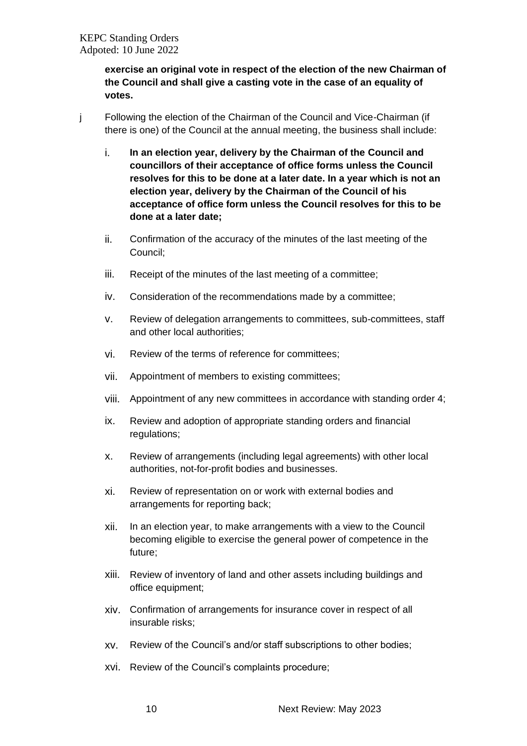**exercise an original vote in respect of the election of the new Chairman of the Council and shall give a casting vote in the case of an equality of votes.**

- j Following the election of the Chairman of the Council and Vice-Chairman (if there is one) of the Council at the annual meeting, the business shall include:
	- i. **In an election year, delivery by the Chairman of the Council and councillors of their acceptance of office forms unless the Council resolves for this to be done at a later date. In a year which is not an election year, delivery by the Chairman of the Council of his acceptance of office form unless the Council resolves for this to be done at a later date;**
	- ii. Confirmation of the accuracy of the minutes of the last meeting of the Council;
	- iii. Receipt of the minutes of the last meeting of a committee;
	- iv. Consideration of the recommendations made by a committee;
	- v. Review of delegation arrangements to committees, sub-committees, staff and other local authorities;
	- vi. Review of the terms of reference for committees;
	- vii. Appointment of members to existing committees;
	- viii. Appointment of any new committees in accordance with standing order 4;
	- ix. Review and adoption of appropriate standing orders and financial regulations;
	- x. Review of arrangements (including legal agreements) with other local authorities, not-for-profit bodies and businesses.
	- xi. Review of representation on or work with external bodies and arrangements for reporting back;
	- xii. In an election year, to make arrangements with a view to the Council becoming eligible to exercise the general power of competence in the future;
	- xiii. Review of inventory of land and other assets including buildings and office equipment;
	- xiv. Confirmation of arrangements for insurance cover in respect of all insurable risks;
	- xv. Review of the Council's and/or staff subscriptions to other bodies;
	- xvi. Review of the Council's complaints procedure;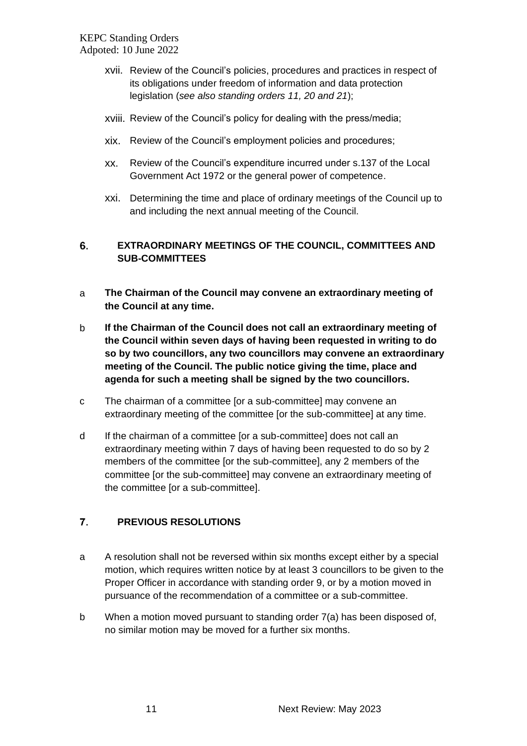- xvii. Review of the Council's policies, procedures and practices in respect of its obligations under freedom of information and data protection legislation (*see also standing orders 11, 20 and 21*);
- xviii. Review of the Council's policy for dealing with the press/media;
- xix. Review of the Council's employment policies and procedures;
- xx. Review of the Council's expenditure incurred under s.137 of the Local Government Act 1972 or the general power of competence.
- xxi. Determining the time and place of ordinary meetings of the Council up to and including the next annual meeting of the Council.

#### <span id="page-10-0"></span>6. **EXTRAORDINARY MEETINGS OF THE COUNCIL, COMMITTEES AND SUB-COMMITTEES**

- a **The Chairman of the Council may convene an extraordinary meeting of the Council at any time.**
- b **If the Chairman of the Council does not call an extraordinary meeting of the Council within seven days of having been requested in writing to do so by two councillors, any two councillors may convene an extraordinary meeting of the Council. The public notice giving the time, place and agenda for such a meeting shall be signed by the two councillors.**
- c The chairman of a committee [or a sub-committee] may convene an extraordinary meeting of the committee [or the sub-committee] at any time.
- d If the chairman of a committee [or a sub-committee] does not call an extraordinary meeting within 7 days of having been requested to do so by 2 members of the committee [or the sub-committee], any 2 members of the committee [or the sub-committee] may convene an extraordinary meeting of the committee [or a sub-committee].

#### <span id="page-10-1"></span> $7.$ **PREVIOUS RESOLUTIONS**

- a A resolution shall not be reversed within six months except either by a special motion, which requires written notice by at least 3 councillors to be given to the Proper Officer in accordance with standing order 9, or by a motion moved in pursuance of the recommendation of a committee or a sub-committee.
- b When a motion moved pursuant to standing order 7(a) has been disposed of, no similar motion may be moved for a further six months.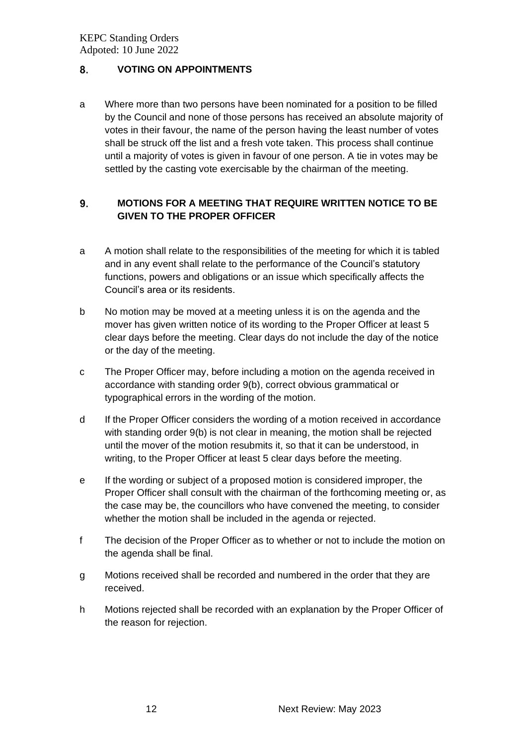#### <span id="page-11-0"></span>8. **VOTING ON APPOINTMENTS**

a Where more than two persons have been nominated for a position to be filled by the Council and none of those persons has received an absolute majority of votes in their favour, the name of the person having the least number of votes shall be struck off the list and a fresh vote taken. This process shall continue until a majority of votes is given in favour of one person. A tie in votes may be settled by the casting vote exercisable by the chairman of the meeting.

#### <span id="page-11-1"></span>**MOTIONS FOR A MEETING THAT REQUIRE WRITTEN NOTICE TO BE**  9. **GIVEN TO THE PROPER OFFICER**

- a A motion shall relate to the responsibilities of the meeting for which it is tabled and in any event shall relate to the performance of the Council's statutory functions, powers and obligations or an issue which specifically affects the Council's area or its residents.
- b No motion may be moved at a meeting unless it is on the agenda and the mover has given written notice of its wording to the Proper Officer at least 5 clear days before the meeting. Clear days do not include the day of the notice or the day of the meeting.
- c The Proper Officer may, before including a motion on the agenda received in accordance with standing order 9(b), correct obvious grammatical or typographical errors in the wording of the motion.
- d If the Proper Officer considers the wording of a motion received in accordance with standing order 9(b) is not clear in meaning, the motion shall be rejected until the mover of the motion resubmits it, so that it can be understood, in writing, to the Proper Officer at least 5 clear days before the meeting.
- e If the wording or subject of a proposed motion is considered improper, the Proper Officer shall consult with the chairman of the forthcoming meeting or, as the case may be, the councillors who have convened the meeting, to consider whether the motion shall be included in the agenda or rejected.
- f The decision of the Proper Officer as to whether or not to include the motion on the agenda shall be final.
- g Motions received shall be recorded and numbered in the order that they are received.
- h Motions rejected shall be recorded with an explanation by the Proper Officer of the reason for rejection.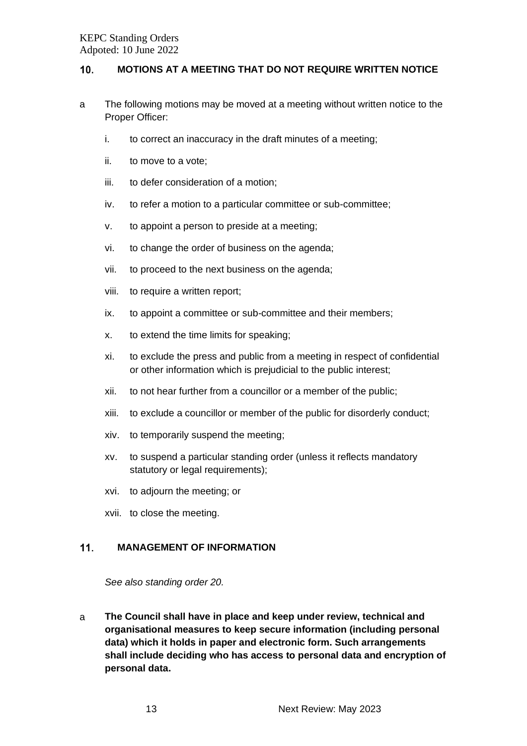#### <span id="page-12-0"></span> $10.$ **MOTIONS AT A MEETING THAT DO NOT REQUIRE WRITTEN NOTICE**

- a The following motions may be moved at a meeting without written notice to the Proper Officer:
	- i. to correct an inaccuracy in the draft minutes of a meeting;
	- ii. to move to a vote;
	- iii. to defer consideration of a motion;
	- iv. to refer a motion to a particular committee or sub-committee;
	- v. to appoint a person to preside at a meeting;
	- vi. to change the order of business on the agenda;
	- vii. to proceed to the next business on the agenda;
	- viii. to require a written report;
	- ix. to appoint a committee or sub-committee and their members;
	- x. to extend the time limits for speaking;
	- xi. to exclude the press and public from a meeting in respect of confidential or other information which is prejudicial to the public interest;
	- xii. to not hear further from a councillor or a member of the public;
	- xiii. to exclude a councillor or member of the public for disorderly conduct;
	- xiv. to temporarily suspend the meeting;
	- xv. to suspend a particular standing order (unless it reflects mandatory statutory or legal requirements);
	- xvi. to adjourn the meeting; or
	- xvii. to close the meeting.

#### <span id="page-12-1"></span> $11.$ **MANAGEMENT OF INFORMATION**

*See also standing order 20.*

a **The Council shall have in place and keep under review, technical and organisational measures to keep secure information (including personal data) which it holds in paper and electronic form. Such arrangements shall include deciding who has access to personal data and encryption of personal data.**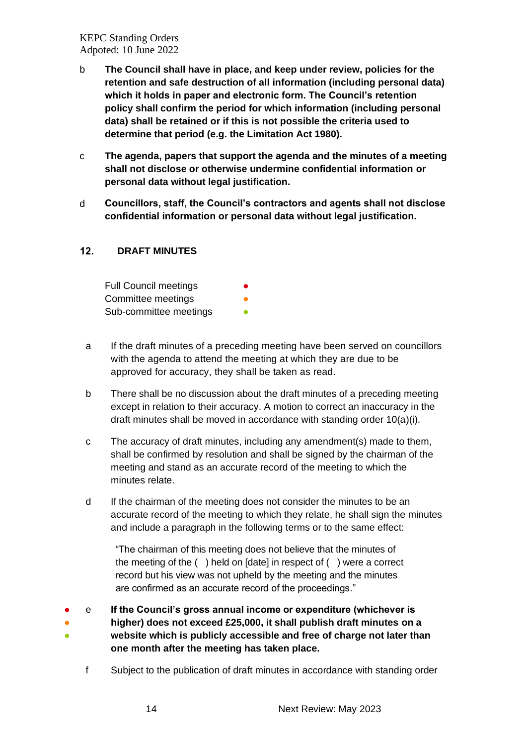- b **The Council shall have in place, and keep under review, policies for the retention and safe destruction of all information (including personal data) which it holds in paper and electronic form. The Council's retention policy shall confirm the period for which information (including personal data) shall be retained or if this is not possible the criteria used to determine that period (e.g. the Limitation Act 1980).**
- c **The agenda, papers that support the agenda and the minutes of a meeting shall not disclose or otherwise undermine confidential information or personal data without legal justification.**
- d **Councillors, staff, the Council's contractors and agents shall not disclose confidential information or personal data without legal justification.**

#### <span id="page-13-0"></span> $12.$ **DRAFT MINUTES**

| <b>Full Council meetings</b> |  |
|------------------------------|--|
| Committee meetings           |  |
| Sub-committee meetings       |  |

- a If the draft minutes of a preceding meeting have been served on councillors with the agenda to attend the meeting at which they are due to be approved for accuracy, they shall be taken as read.
- b There shall be no discussion about the draft minutes of a preceding meeting except in relation to their accuracy. A motion to correct an inaccuracy in the draft minutes shall be moved in accordance with standing order 10(a)(i).
- c The accuracy of draft minutes, including any amendment(s) made to them, shall be confirmed by resolution and shall be signed by the chairman of the meeting and stand as an accurate record of the meeting to which the minutes relate.
- d If the chairman of the meeting does not consider the minutes to be an accurate record of the meeting to which they relate, he shall sign the minutes and include a paragraph in the following terms or to the same effect:

"The chairman of this meeting does not believe that the minutes of the meeting of the ( ) held on [date] in respect of ( ) were a correct record but his view was not upheld by the meeting and the minutes are confirmed as an accurate record of the proceedings."

- e **If the Council's gross annual income or expenditure (whichever is**
- ● **higher) does not exceed £25,000, it shall publish draft minutes on a website which is publicly accessible and free of charge not later than**
- **one month after the meeting has taken place.**
	- f Subject to the publication of draft minutes in accordance with standing order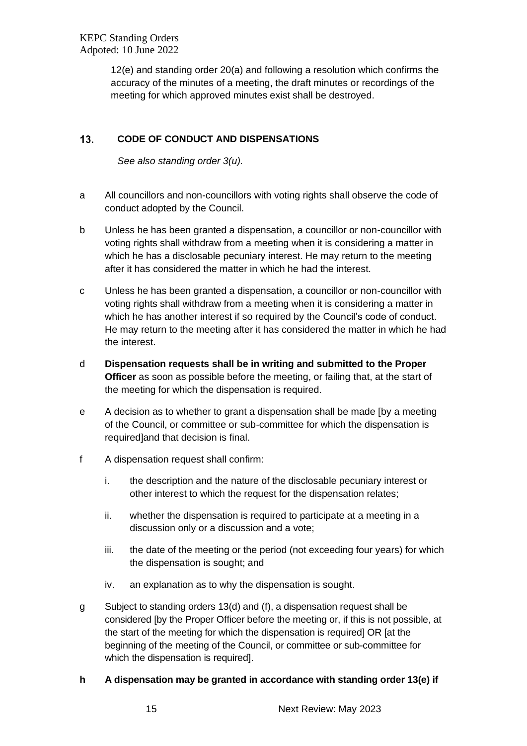12(e) and standing order 20(a) and following a resolution which confirms the accuracy of the minutes of a meeting, the draft minutes or recordings of the meeting for which approved minutes exist shall be destroyed.

#### <span id="page-14-0"></span> $13.$ **CODE OF CONDUCT AND DISPENSATIONS**

*See also standing order 3(u).*

- a All councillors and non-councillors with voting rights shall observe the code of conduct adopted by the Council.
- b Unless he has been granted a dispensation, a councillor or non-councillor with voting rights shall withdraw from a meeting when it is considering a matter in which he has a disclosable pecuniary interest. He may return to the meeting after it has considered the matter in which he had the interest.
- c Unless he has been granted a dispensation, a councillor or non-councillor with voting rights shall withdraw from a meeting when it is considering a matter in which he has another interest if so required by the Council's code of conduct. He may return to the meeting after it has considered the matter in which he had the interest.
- d **Dispensation requests shall be in writing and submitted to the Proper Officer** as soon as possible before the meeting, or failing that, at the start of the meeting for which the dispensation is required.
- e A decision as to whether to grant a dispensation shall be made [by a meeting of the Council, or committee or sub-committee for which the dispensation is required]and that decision is final.
- f A dispensation request shall confirm:
	- i. the description and the nature of the disclosable pecuniary interest or other interest to which the request for the dispensation relates;
	- ii. whether the dispensation is required to participate at a meeting in a discussion only or a discussion and a vote;
	- iii. the date of the meeting or the period (not exceeding four years) for which the dispensation is sought; and
	- iv. an explanation as to why the dispensation is sought.
- g Subject to standing orders 13(d) and (f), a dispensation request shall be considered [by the Proper Officer before the meeting or, if this is not possible, at the start of the meeting for which the dispensation is required] OR [at the beginning of the meeting of the Council, or committee or sub-committee for which the dispensation is required].

# **h A dispensation may be granted in accordance with standing order 13(e) if**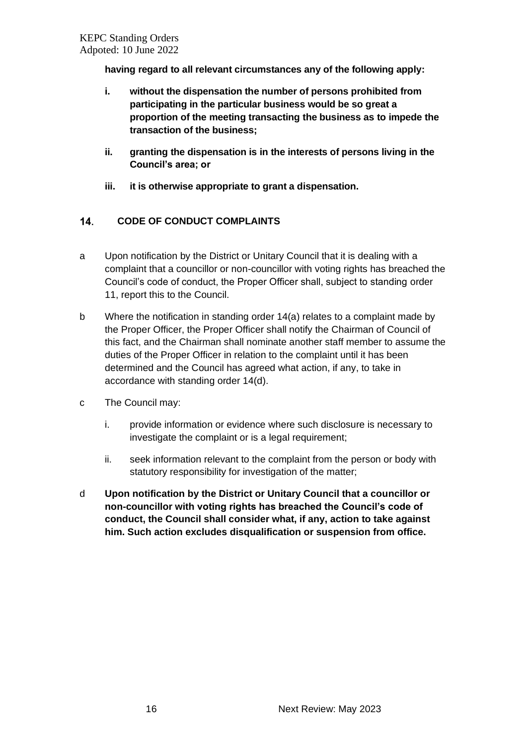**having regard to all relevant circumstances any of the following apply:**

- **i. without the dispensation the number of persons prohibited from participating in the particular business would be so great a proportion of the meeting transacting the business as to impede the transaction of the business;**
- **ii. granting the dispensation is in the interests of persons living in the Council's area; or**
- **iii. it is otherwise appropriate to grant a dispensation.**

#### <span id="page-15-0"></span> $14.$ **CODE OF CONDUCT COMPLAINTS**

- a Upon notification by the District or Unitary Council that it is dealing with a complaint that a councillor or non-councillor with voting rights has breached the Council's code of conduct, the Proper Officer shall, subject to standing order 11, report this to the Council.
- b Where the notification in standing order 14(a) relates to a complaint made by the Proper Officer, the Proper Officer shall notify the Chairman of Council of this fact, and the Chairman shall nominate another staff member to assume the duties of the Proper Officer in relation to the complaint until it has been determined and the Council has agreed what action, if any, to take in accordance with standing order 14(d).
- c The Council may:
	- i. provide information or evidence where such disclosure is necessary to investigate the complaint or is a legal requirement;
	- ii. seek information relevant to the complaint from the person or body with statutory responsibility for investigation of the matter;
- <span id="page-15-1"></span>d **Upon notification by the District or Unitary Council that a councillor or non-councillor with voting rights has breached the Council's code of conduct, the Council shall consider what, if any, action to take against him. Such action excludes disqualification or suspension from office.**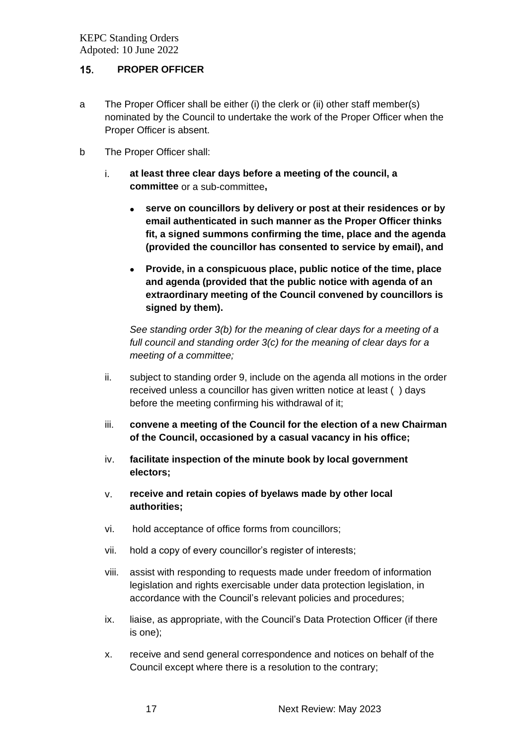#### $15.$ **PROPER OFFICER**

- a The Proper Officer shall be either (i) the clerk or (ii) other staff member(s) nominated by the Council to undertake the work of the Proper Officer when the Proper Officer is absent.
- b The Proper Officer shall:
	- i. **at least three clear days before a meeting of the council, a committee** or a sub-committee**,**
		- **serve on councillors by delivery or post at their residences or by email authenticated in such manner as the Proper Officer thinks fit, a signed summons confirming the time, place and the agenda (provided the councillor has consented to service by email), and**
		- **Provide, in a conspicuous place, public notice of the time, place and agenda (provided that the public notice with agenda of an extraordinary meeting of the Council convened by councillors is signed by them).**

*See standing order 3(b) for the meaning of clear days for a meeting of a full council and standing order 3(c) for the meaning of clear days for a meeting of a committee;*

- ii. subject to standing order 9, include on the agenda all motions in the order received unless a councillor has given written notice at least ( ) days before the meeting confirming his withdrawal of it;
- iii. **convene a meeting of the Council for the election of a new Chairman of the Council, occasioned by a casual vacancy in his office;**
- iv. **facilitate inspection of the minute book by local government electors;**
- v. **receive and retain copies of byelaws made by other local authorities;**
- vi. hold acceptance of office forms from councillors;
- vii. hold a copy of every councillor's register of interests;
- viii. assist with responding to requests made under freedom of information legislation and rights exercisable under data protection legislation, in accordance with the Council's relevant policies and procedures;
- ix. liaise, as appropriate, with the Council's Data Protection Officer (if there is one);
- x. receive and send general correspondence and notices on behalf of the Council except where there is a resolution to the contrary;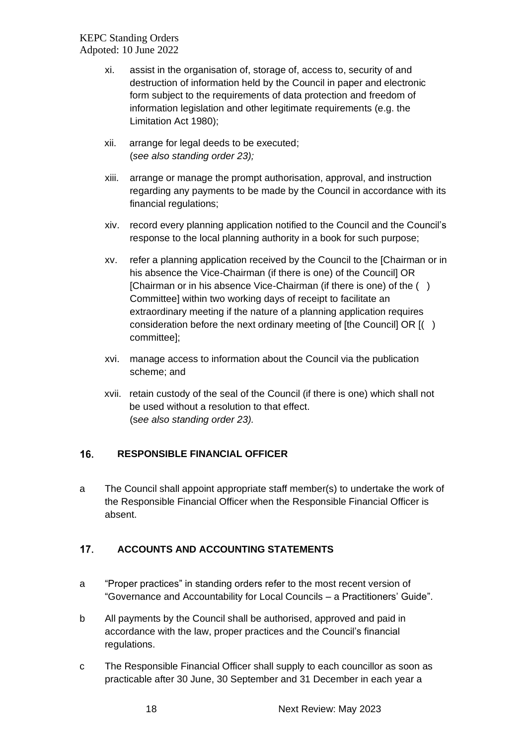- xi. assist in the organisation of, storage of, access to, security of and destruction of information held by the Council in paper and electronic form subject to the requirements of data protection and freedom of information legislation and other legitimate requirements (e.g. the Limitation Act 1980);
- xii. arrange for legal deeds to be executed; (*see also standing order 23);*
- xiii. arrange or manage the prompt authorisation, approval, and instruction regarding any payments to be made by the Council in accordance with its financial regulations;
- xiv. record every planning application notified to the Council and the Council's response to the local planning authority in a book for such purpose;
- xv. refer a planning application received by the Council to the [Chairman or in his absence the Vice-Chairman (if there is one) of the Council] OR [Chairman or in his absence Vice-Chairman (if there is one) of the ( ) Committee] within two working days of receipt to facilitate an extraordinary meeting if the nature of a planning application requires consideration before the next ordinary meeting of [the Council] OR [( ) committee];
- xvi. manage access to information about the Council via the publication scheme; and
- xvii. retain custody of the seal of the Council (if there is one) which shall not be used without a resolution to that effect. (s*ee also standing order 23).*

#### <span id="page-17-0"></span> $16.$ **RESPONSIBLE FINANCIAL OFFICER**

a The Council shall appoint appropriate staff member(s) to undertake the work of the Responsible Financial Officer when the Responsible Financial Officer is absent.

#### <span id="page-17-1"></span> $17.$ **ACCOUNTS AND ACCOUNTING STATEMENTS**

- a "Proper practices" in standing orders refer to the most recent version of "Governance and Accountability for Local Councils – a Practitioners' Guide".
- b All payments by the Council shall be authorised, approved and paid in accordance with the law, proper practices and the Council's financial regulations.
- c The Responsible Financial Officer shall supply to each councillor as soon as practicable after 30 June, 30 September and 31 December in each year a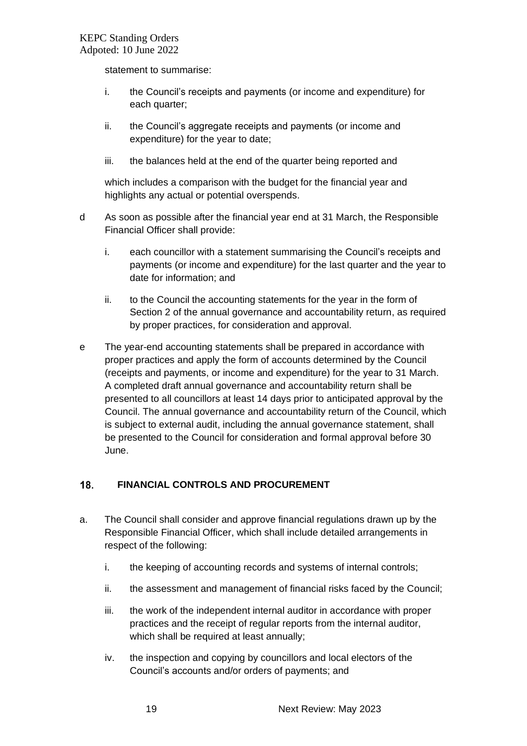statement to summarise:

- i. the Council's receipts and payments (or income and expenditure) for each quarter;
- ii. the Council's aggregate receipts and payments (or income and expenditure) for the year to date;
- iii. the balances held at the end of the quarter being reported and

which includes a comparison with the budget for the financial year and highlights any actual or potential overspends.

- d As soon as possible after the financial year end at 31 March, the Responsible Financial Officer shall provide:
	- i. each councillor with a statement summarising the Council's receipts and payments (or income and expenditure) for the last quarter and the year to date for information; and
	- ii. to the Council the accounting statements for the year in the form of Section 2 of the annual governance and accountability return, as required by proper practices, for consideration and approval.
- e The year-end accounting statements shall be prepared in accordance with proper practices and apply the form of accounts determined by the Council (receipts and payments, or income and expenditure) for the year to 31 March. A completed draft annual governance and accountability return shall be presented to all councillors at least 14 days prior to anticipated approval by the Council. The annual governance and accountability return of the Council, which is subject to external audit, including the annual governance statement, shall be presented to the Council for consideration and formal approval before 30 June.

#### <span id="page-18-0"></span>18. **FINANCIAL CONTROLS AND PROCUREMENT**

- a. The Council shall consider and approve financial regulations drawn up by the Responsible Financial Officer, which shall include detailed arrangements in respect of the following:
	- i. the keeping of accounting records and systems of internal controls;
	- ii. the assessment and management of financial risks faced by the Council;
	- iii. the work of the independent internal auditor in accordance with proper practices and the receipt of regular reports from the internal auditor, which shall be required at least annually;
	- iv. the inspection and copying by councillors and local electors of the Council's accounts and/or orders of payments; and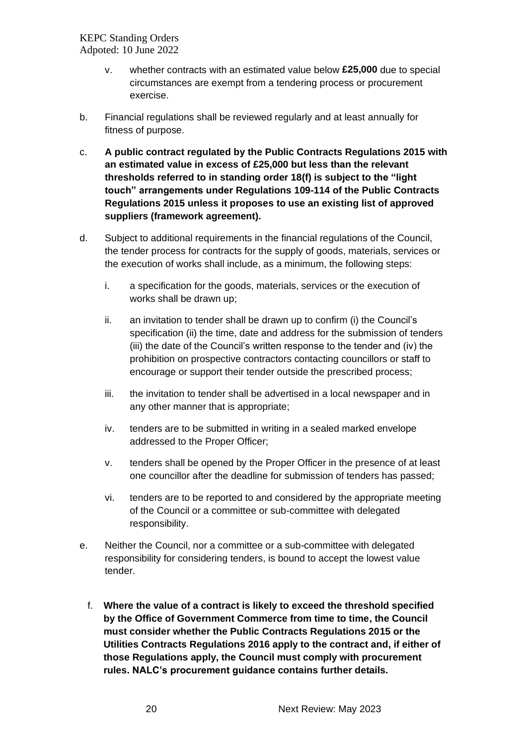- v. whether contracts with an estimated value below **£25,000** due to special circumstances are exempt from a tendering process or procurement exercise.
- b. Financial regulations shall be reviewed regularly and at least annually for fitness of purpose.
- c. **A public contract regulated by the Public Contracts Regulations 2015 with an estimated value in excess of £25,000 but less than the relevant thresholds referred to in standing order 18(f) is subject to the "light touch" arrangements under Regulations 109-114 of the Public Contracts Regulations 2015 unless it proposes to use an existing list of approved suppliers (framework agreement).**
- d. Subject to additional requirements in the financial regulations of the Council, the tender process for contracts for the supply of goods, materials, services or the execution of works shall include, as a minimum, the following steps:
	- i. a specification for the goods, materials, services or the execution of works shall be drawn up;
	- ii. an invitation to tender shall be drawn up to confirm (i) the Council's specification (ii) the time, date and address for the submission of tenders (iii) the date of the Council's written response to the tender and (iv) the prohibition on prospective contractors contacting councillors or staff to encourage or support their tender outside the prescribed process;
	- iii. the invitation to tender shall be advertised in a local newspaper and in any other manner that is appropriate;
	- iv. tenders are to be submitted in writing in a sealed marked envelope addressed to the Proper Officer;
	- v. tenders shall be opened by the Proper Officer in the presence of at least one councillor after the deadline for submission of tenders has passed;
	- vi. tenders are to be reported to and considered by the appropriate meeting of the Council or a committee or sub-committee with delegated responsibility.
- e. Neither the Council, nor a committee or a sub-committee with delegated responsibility for considering tenders, is bound to accept the lowest value tender.
	- f. **Where the value of a contract is likely to exceed the threshold specified by the Office of Government Commerce from time to time, the Council must consider whether the Public Contracts Regulations 2015 or the Utilities Contracts Regulations 2016 apply to the contract and, if either of those Regulations apply, the Council must comply with procurement rules. NALC's procurement guidance contains further details.**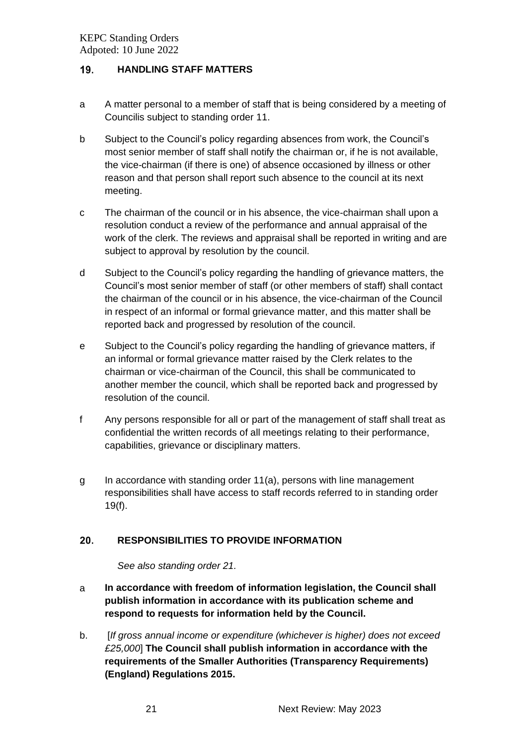#### <span id="page-20-0"></span>19. **HANDLING STAFF MATTERS**

- a A matter personal to a member of staff that is being considered by a meeting of Councilis subject to standing order 11.
- b Subject to the Council's policy regarding absences from work, the Council's most senior member of staff shall notify the chairman or, if he is not available, the vice-chairman (if there is one) of absence occasioned by illness or other reason and that person shall report such absence to the council at its next meeting.
- c The chairman of the council or in his absence, the vice-chairman shall upon a resolution conduct a review of the performance and annual appraisal of the work of the clerk. The reviews and appraisal shall be reported in writing and are subject to approval by resolution by the council.
- d Subject to the Council's policy regarding the handling of grievance matters, the Council's most senior member of staff (or other members of staff) shall contact the chairman of the council or in his absence, the vice-chairman of the Council in respect of an informal or formal grievance matter, and this matter shall be reported back and progressed by resolution of the council.
- e Subject to the Council's policy regarding the handling of grievance matters, if an informal or formal grievance matter raised by the Clerk relates to the chairman or vice-chairman of the Council, this shall be communicated to another member the council, which shall be reported back and progressed by resolution of the council.
- f Any persons responsible for all or part of the management of staff shall treat as confidential the written records of all meetings relating to their performance, capabilities, grievance or disciplinary matters.
- g In accordance with standing order 11(a), persons with line management responsibilities shall have access to staff records referred to in standing order 19(f).

#### <span id="page-20-1"></span> $20.$ **RESPONSIBILITIES TO PROVIDE INFORMATION**

*See also standing order 21.*

- a **In accordance with freedom of information legislation, the Council shall publish information in accordance with its publication scheme and respond to requests for information held by the Council.**
- b. [*If gross annual income or expenditure (whichever is higher) does not exceed £25,000*] **The Council shall publish information in accordance with the requirements of the Smaller Authorities (Transparency Requirements) (England) Regulations 2015.**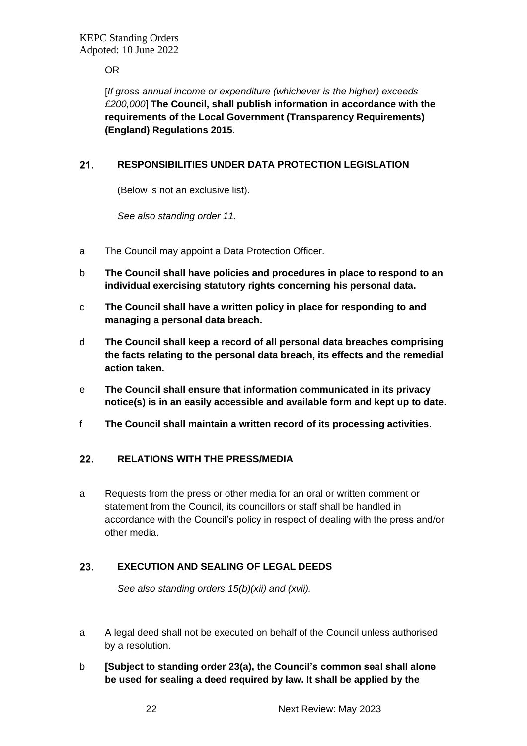OR

[*If gross annual income or expenditure (whichever is the higher) exceeds £200,000*] **The Council, shall publish information in accordance with the requirements of the Local Government (Transparency Requirements) (England) Regulations 2015**.

#### <span id="page-21-0"></span> $21.$ **RESPONSIBILITIES UNDER DATA PROTECTION LEGISLATION**

(Below is not an exclusive list).

*See also standing order 11.*

- a The Council may appoint a Data Protection Officer.
- b **The Council shall have policies and procedures in place to respond to an individual exercising statutory rights concerning his personal data.**
- c **The Council shall have a written policy in place for responding to and managing a personal data breach.**
- d **The Council shall keep a record of all personal data breaches comprising the facts relating to the personal data breach, its effects and the remedial action taken.**
- e **The Council shall ensure that information communicated in its privacy notice(s) is in an easily accessible and available form and kept up to date.**
- f **The Council shall maintain a written record of its processing activities.**

#### <span id="page-21-1"></span> $22.$ **RELATIONS WITH THE PRESS/MEDIA**

a Requests from the press or other media for an oral or written comment or statement from the Council, its councillors or staff shall be handled in accordance with the Council's policy in respect of dealing with the press and/or other media.

#### <span id="page-21-2"></span>23. **EXECUTION AND SEALING OF LEGAL DEEDS**

*See also standing orders 15(b)(xii) and (xvii).*

- a A legal deed shall not be executed on behalf of the Council unless authorised by a resolution.
- b **[Subject to standing order 23(a), the Council's common seal shall alone be used for sealing a deed required by law. It shall be applied by the**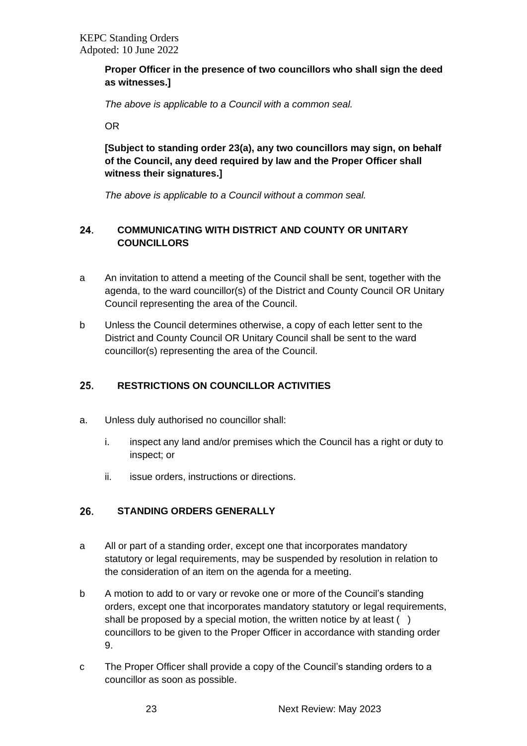# **Proper Officer in the presence of two councillors who shall sign the deed as witnesses.]**

*The above is applicable to a Council with a common seal.*

OR

**[Subject to standing order 23(a), any two councillors may sign, on behalf of the Council, any deed required by law and the Proper Officer shall witness their signatures.]** 

*The above is applicable to a Council without a common seal.*

#### <span id="page-22-0"></span>24. **COMMUNICATING WITH DISTRICT AND COUNTY OR UNITARY COUNCILLORS**

- a An invitation to attend a meeting of the Council shall be sent, together with the agenda, to the ward councillor(s) of the District and County Council OR Unitary Council representing the area of the Council.
- b Unless the Council determines otherwise, a copy of each letter sent to the District and County Council OR Unitary Council shall be sent to the ward councillor(s) representing the area of the Council.

#### <span id="page-22-1"></span>25. **RESTRICTIONS ON COUNCILLOR ACTIVITIES**

- a. Unless duly authorised no councillor shall:
	- i. inspect any land and/or premises which the Council has a right or duty to inspect; or
	- ii. issue orders, instructions or directions.

#### <span id="page-22-2"></span>26. **STANDING ORDERS GENERALLY**

- a All or part of a standing order, except one that incorporates mandatory statutory or legal requirements, may be suspended by resolution in relation to the consideration of an item on the agenda for a meeting.
- b A motion to add to or vary or revoke one or more of the Council's standing orders, except one that incorporates mandatory statutory or legal requirements, shall be proposed by a special motion, the written notice by at least () councillors to be given to the Proper Officer in accordance with standing order 9.
- c The Proper Officer shall provide a copy of the Council's standing orders to a councillor as soon as possible.